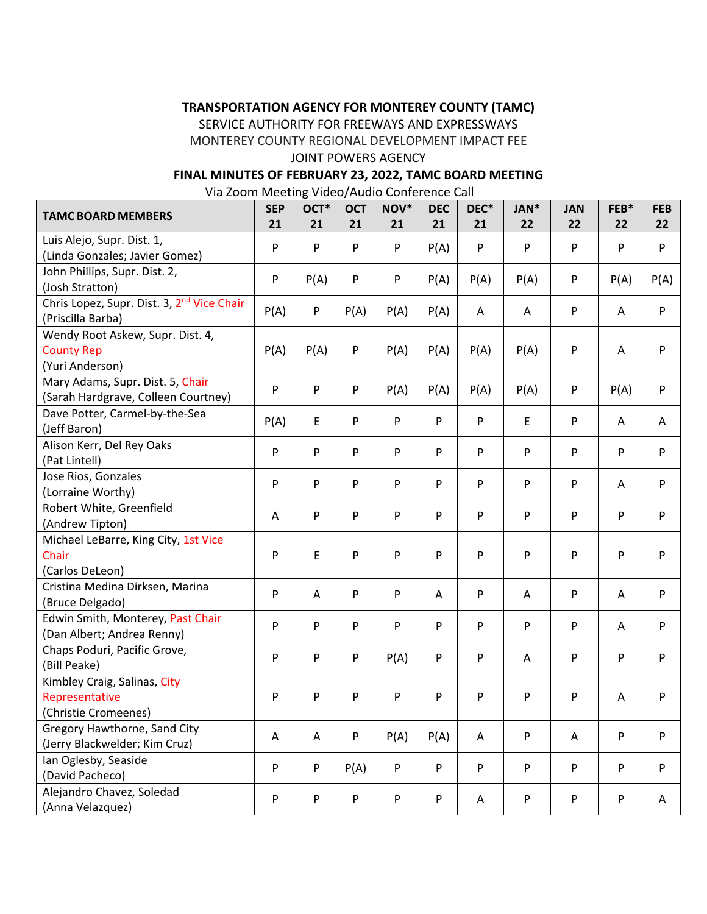### **TRANSPORTATION AGENCY FOR MONTEREY COUNTY (TAMC)**

SERVICE AUTHORITY FOR FREEWAYS AND EXPRESSWAYS

MONTEREY COUNTY REGIONAL DEVELOPMENT IMPACT FEE

### JOINT POWERS AGENCY

# **FINAL MINUTES OF FEBRUARY 23, 2022, TAMC BOARD MEETING**

Via Zoom Meeting Video/Audio Conference Call

| <b>TAMC BOARD MEMBERS</b>                                                   | <b>SEP</b><br>21 | OCT*<br>21                | <b>OCT</b><br>21 | NOV*<br>21 | <b>DEC</b><br>21 | DEC*<br>21 | JAN*<br>22 | <b>JAN</b><br>22 | FEB*<br>22 | <b>FEB</b><br>22 |
|-----------------------------------------------------------------------------|------------------|---------------------------|------------------|------------|------------------|------------|------------|------------------|------------|------------------|
| Luis Alejo, Supr. Dist. 1,<br>(Linda Gonzales; Javier Gomez)                | P                | ${\sf P}$                 | P                | P          | P(A)             | P          | P          | P                | P          | P                |
| John Phillips, Supr. Dist. 2,<br>(Josh Stratton)                            | P                | P(A)                      | P                | P          | P(A)             | P(A)       | P(A)       | P                | P(A)       | P(A)             |
| Chris Lopez, Supr. Dist. 3, 2 <sup>nd</sup> Vice Chair<br>(Priscilla Barba) | P(A)             | ${\sf P}$                 | P(A)             | P(A)       | P(A)             | Α          | Α          | P                | Α          | $\sf P$          |
| Wendy Root Askew, Supr. Dist. 4,<br><b>County Rep</b><br>(Yuri Anderson)    | P(A)             | P(A)                      | $\sf P$          | P(A)       | P(A)             | P(A)       | P(A)       | P                | Α          | P                |
| Mary Adams, Supr. Dist. 5, Chair<br>(Sarah Hardgrave, Colleen Courtney)     | P                | ${\sf P}$                 | $\mathsf{P}$     | P(A)       | P(A)             | P(A)       | P(A)       | P                | P(A)       | P                |
| Dave Potter, Carmel-by-the-Sea<br>(Jeff Baron)                              | P(A)             | E                         | $\mathsf{P}$     | ${\sf P}$  | P                | ${\sf P}$  | E          | P                | A          | A                |
| Alison Kerr, Del Rey Oaks<br>(Pat Lintell)                                  | P                | ${\sf P}$                 | P                | P          | P                | P          | ${\sf P}$  | P                | ${\sf P}$  | P                |
| Jose Rios, Gonzales<br>(Lorraine Worthy)                                    | P                | ${\sf P}$                 | P                | P          | P                | ${\sf P}$  | ${\sf P}$  | P                | A          | $\mathsf{P}$     |
| Robert White, Greenfield<br>(Andrew Tipton)                                 | Α                | $\boldsymbol{\mathsf{P}}$ | $\sf P$          | P          | P                | ${\sf P}$  | ${\sf P}$  | P                | ${\sf P}$  | $\mathsf{P}$     |
| Michael LeBarre, King City, 1st Vice<br>Chair<br>(Carlos DeLeon)            | P                | E                         | P                | P          | P                | P          | P          | P                | ${\sf P}$  | P                |
| Cristina Medina Dirksen, Marina<br>(Bruce Delgado)                          | P                | A                         | P                | P          | Α                | ${\sf P}$  | A          | P                | A          | P                |
| Edwin Smith, Monterey, Past Chair<br>(Dan Albert; Andrea Renny)             | P                | ${\sf P}$                 | $\mathsf{P}$     | P          | P                | ${\sf P}$  | ${\sf P}$  | P                | Α          | P                |
| Chaps Poduri, Pacific Grove,<br>(Bill Peake)                                | P                | ${\sf P}$                 | $\mathsf{P}$     | P(A)       | P                | ${\sf P}$  | A          | P                | ${\sf P}$  | $\mathsf{P}$     |
| Kimbley Craig, Salinas, City<br>Representative<br>(Christie Cromeenes)      | P                | P                         | P                | P          | P                | P          | P          | P                | Α          | P                |
| Gregory Hawthorne, Sand City<br>(Jerry Blackwelder; Kim Cruz)               | Α                | A                         | ${\sf P}$        | P(A)       | P(A)             | A          | P          | A                | ${\sf P}$  | $\mathsf{P}$     |
| Ian Oglesby, Seaside<br>(David Pacheco)                                     | P                | ${\sf P}$                 | P(A)             | P          | P                | ${\sf P}$  | P          | P                | P          | $\mathsf{P}$     |
| Alejandro Chavez, Soledad<br>(Anna Velazquez)                               | P                | P                         | ${\sf P}$        | P          | P                | Α          | P          | P                | P          | Α                |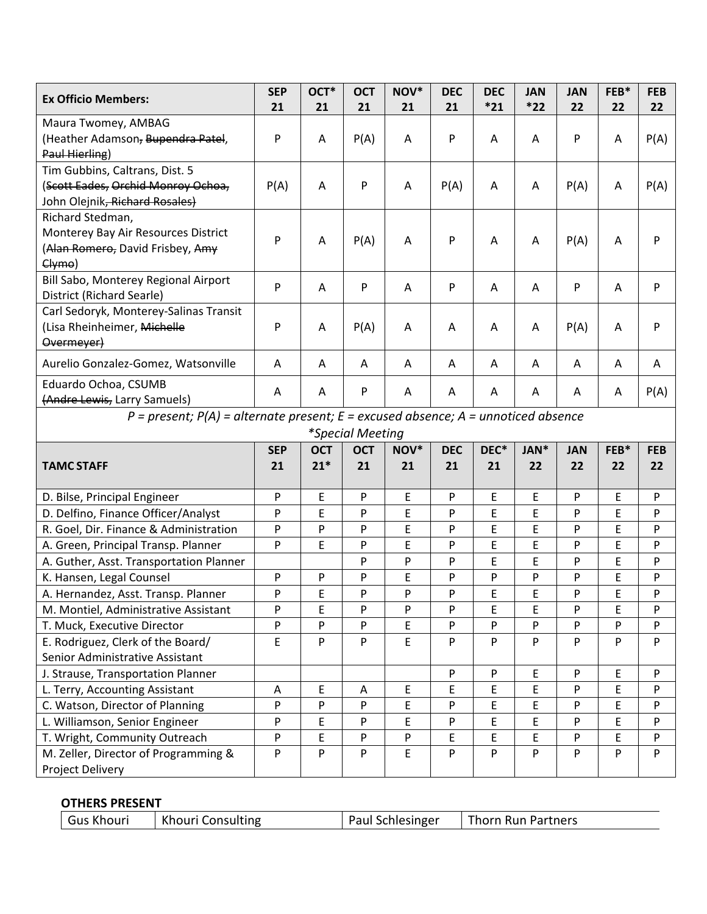| <b>Ex Officio Members:</b>                                                                    | <b>SEP</b>                | OCT*       | <b>OCT</b>       | NOV* | <b>DEC</b> | <b>DEC</b> | <b>JAN</b> | <b>JAN</b> | FEB* | <b>FEB</b> |
|-----------------------------------------------------------------------------------------------|---------------------------|------------|------------------|------|------------|------------|------------|------------|------|------------|
|                                                                                               | 21                        | 21         | 21               | 21   | 21         | $*21$      | $*22$      | 22         | 22   | 22         |
| Maura Twomey, AMBAG<br>(Heather Adamson, Bupendra Patel,                                      |                           |            |                  |      | P          |            |            | P          |      |            |
| Paul Hierling)                                                                                | P                         | A          | P(A)             | Α    |            | Α          | Α          |            | A    | P(A)       |
| Tim Gubbins, Caltrans, Dist. 5                                                                |                           |            |                  |      |            |            |            |            |      |            |
| (Scott Eades, Orchid Monroy Ochoa,                                                            | P(A)                      | Α          | $\mathsf{P}$     | Α    | P(A)       | Α          | Α          | P(A)       | A    | P(A)       |
| John Olejnik, Richard Rosales)                                                                |                           |            |                  |      |            |            |            |            |      |            |
| Richard Stedman,                                                                              |                           |            |                  |      |            |            |            |            |      |            |
| Monterey Bay Air Resources District                                                           |                           |            |                  |      |            |            |            |            |      |            |
| (Alan Romero, David Frisbey, Amy                                                              | P                         | Α          | P(A)             | Α    | P          | Α          | Α          | P(A)       | A    | P          |
| $Clymo$ )                                                                                     |                           |            |                  |      |            |            |            |            |      |            |
| Bill Sabo, Monterey Regional Airport                                                          |                           |            |                  |      |            |            |            |            |      |            |
| District (Richard Searle)                                                                     | P                         | A          | $\sf P$          | Α    | $\sf P$    | A          | A          | P          | A    | P          |
| Carl Sedoryk, Monterey-Salinas Transit                                                        |                           |            |                  |      |            |            |            |            |      |            |
| (Lisa Rheinheimer, Michelle                                                                   | P                         | A          | P(A)             | A    | A          | A          | Α          | P(A)       | A    | P          |
| Overmeyer)                                                                                    |                           |            |                  |      |            |            |            |            |      |            |
| Aurelio Gonzalez-Gomez, Watsonville                                                           | A                         | A          | Α                | Α    | A          | A          | Α          | Α          | A    | A          |
| Eduardo Ochoa, CSUMB                                                                          |                           | A          | P                | A    | A          | A          | A          | A          | A    |            |
| (Andre Lewis, Larry Samuels)                                                                  | Α                         |            |                  |      |            |            |            |            |      | P(A)       |
| $P = present$ ; $P(A) = alternate present$ ; $E = excused absence$ ; $A = un noticed absence$ |                           |            |                  |      |            |            |            |            |      |            |
|                                                                                               |                           |            | *Special Meeting |      |            |            |            |            |      |            |
|                                                                                               | <b>SEP</b>                | <b>OCT</b> | <b>OCT</b>       | NOV* | <b>DEC</b> | DEC*       | JAN*       | <b>JAN</b> | FEB* | <b>FEB</b> |
| <b>TAMC STAFF</b>                                                                             | 21                        | $21*$      | 21               | 21   | 21         | 21         | 22         | 22         | 22   | 22         |
|                                                                                               |                           |            |                  |      |            |            |            |            |      |            |
| D. Bilse, Principal Engineer                                                                  | P                         | E          | P                | E    | P          | E          | E          | P          | E    | P          |
| D. Delfino, Finance Officer/Analyst                                                           | P                         | E          | P                | E    | P          | E          | E          | P          | E    | P          |
| R. Goel, Dir. Finance & Administration                                                        | P                         | P          | P                | E    | P          | E          | E          | P          | E    | P          |
| A. Green, Principal Transp. Planner                                                           | P                         | E          | P                | E    | P          | E          | E          | P          | E    | P          |
| A. Guther, Asst. Transportation Planner                                                       |                           |            | P                | P    | P          | E          | E          | P          | E    | P          |
| K. Hansen, Legal Counsel                                                                      | $\boldsymbol{\mathsf{P}}$ | P          | P                | E    | P          | P          | P          | P          | E    | P          |
| A. Hernandez, Asst. Transp. Planner                                                           | P                         | E          | P                | P    | P          | E          | E          | P          | E    | P          |
| M. Montiel, Administrative Assistant                                                          | P                         | E          | P                | P    | P          | E          | Ε          | P          | E    | P          |
| T. Muck, Executive Director                                                                   | P                         | P          | P                | E    | P          | P          | P          | P          | P    | P          |
| E. Rodriguez, Clerk of the Board/                                                             | E                         | P          | P                | E    | P          | P          | P          | P          | P    | P          |
| Senior Administrative Assistant                                                               |                           |            |                  |      |            |            |            |            |      |            |
| J. Strause, Transportation Planner                                                            |                           |            |                  |      | $\sf P$    | P          | E          | P          | E    | P          |
| L. Terry, Accounting Assistant                                                                | Α                         | E          | Α                | E    | E          | E          | E          | P          | E    | P          |
| C. Watson, Director of Planning                                                               | P                         | P          | P                | E    | P          | E          | E          | P          | E    | P          |
| L. Williamson, Senior Engineer                                                                | P                         | E          | P                | E    | P          | E          | E          | P          | E    | P          |
| T. Wright, Community Outreach                                                                 | P                         | E          | P                | P    | E          | E          | E          | P          | E    | P          |
| M. Zeller, Director of Programming &                                                          | P                         | P          | P                | E    | ${\sf P}$  | P          | P          | P          | P    | P          |
| Project Delivery                                                                              |                           |            |                  |      |            |            |            |            |      |            |

## **OTHERS PRESENT**

| Gus Khouri | Khouri Consulting | Paul Schlesinger | <b>Thorn Run Partners</b> |
|------------|-------------------|------------------|---------------------------|
|------------|-------------------|------------------|---------------------------|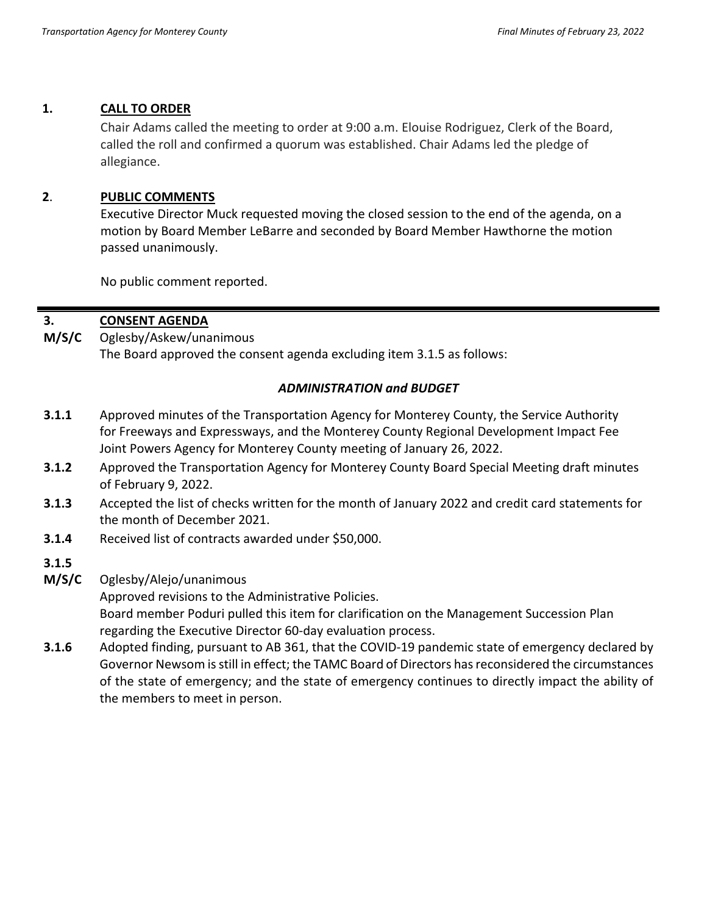#### **1. CALL TO ORDER**

Chair Adams called the meeting to order at 9:00 a.m. Elouise Rodriguez, Clerk of the Board, called the roll and confirmed a quorum was established. Chair Adams led the pledge of allegiance.

### **2**. **PUBLIC COMMENTS**

Executive Director Muck requested moving the closed session to the end of the agenda, on a motion by Board Member LeBarre and seconded by Board Member Hawthorne the motion passed unanimously.

No public comment reported.

#### **3. CONSENT AGENDA**

**M/S/C**  Oglesby/Askew/unanimous The Board approved the consent agenda excluding item 3.1.5 as follows:

## *ADMINISTRATION and BUDGET*

- **3.1.1** Approved minutes of the Transportation Agency for Monterey County, the Service Authority for Freeways and Expressways, and the Monterey County Regional Development Impact Fee Joint Powers Agency for Monterey County meeting of January 26, 2022.
- **3.1.2** Approved the Transportation Agency for Monterey County Board Special Meeting draft minutes of February 9, 2022.
- **3.1.3** Accepted the list of checks written for the month of January 2022 and credit card statements for the month of December 2021.
- **3.1.4** Received list of contracts awarded under \$50,000.
- **3.1.5**
- **M/S/C** Oglesby/Alejo/unanimous

Approved revisions to the Administrative Policies. Board member Poduri pulled this item for clarification on the Management Succession Plan regarding the Executive Director 60-day evaluation process.

**3.1.6** Adopted finding, pursuant to AB 361, that the COVID-19 pandemic state of emergency declared by Governor Newsom is still in effect; the TAMC Board of Directors has reconsidered the circumstances of the state of emergency; and the state of emergency continues to directly impact the ability of the members to meet in person.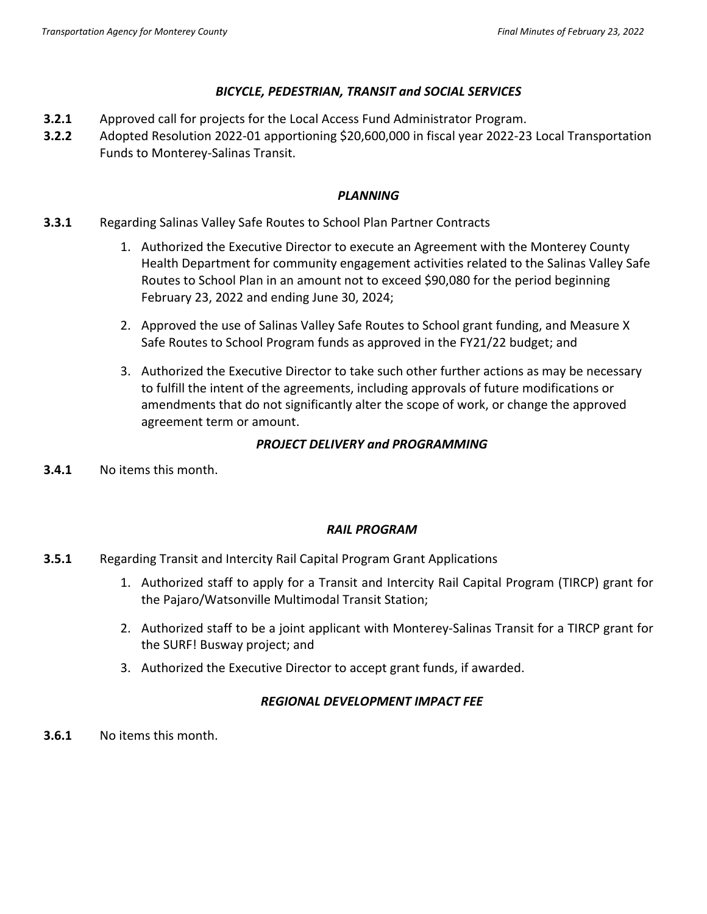### *BICYCLE, PEDESTRIAN, TRANSIT and SOCIAL SERVICES*

- **3.2.1** Approved call for projects for the Local Access Fund Administrator Program.
- **3.2.2** Adopted Resolution 2022-01 apportioning \$20,600,000 in fiscal year 2022-23 Local Transportation Funds to Monterey-Salinas Transit.

### *PLANNING*

- **3.3.1** Regarding Salinas Valley Safe Routes to School Plan Partner Contracts
	- 1. Authorized the Executive Director to execute an Agreement with the Monterey County Health Department for community engagement activities related to the Salinas Valley Safe Routes to School Plan in an amount not to exceed \$90,080 for the period beginning February 23, 2022 and ending June 30, 2024;
	- 2. Approved the use of Salinas Valley Safe Routes to School grant funding, and Measure X Safe Routes to School Program funds as approved in the FY21/22 budget; and
	- 3. Authorized the Executive Director to take such other further actions as may be necessary to fulfill the intent of the agreements, including approvals of future modifications or amendments that do not significantly alter the scope of work, or change the approved agreement term or amount.

# *PROJECT DELIVERY and PROGRAMMING*

**3.4.1** No items this month.

# *RAIL PROGRAM*

- **3.5.1** Regarding Transit and Intercity Rail Capital Program Grant Applications
	- 1. Authorized staff to apply for a Transit and Intercity Rail Capital Program (TIRCP) grant for the Pajaro/Watsonville Multimodal Transit Station;
	- 2. Authorized staff to be a joint applicant with Monterey-Salinas Transit for a TIRCP grant for the SURF! Busway project; and
	- 3. Authorized the Executive Director to accept grant funds, if awarded.

# *REGIONAL DEVELOPMENT IMPACT FEE*

**3.6.1** No items this month.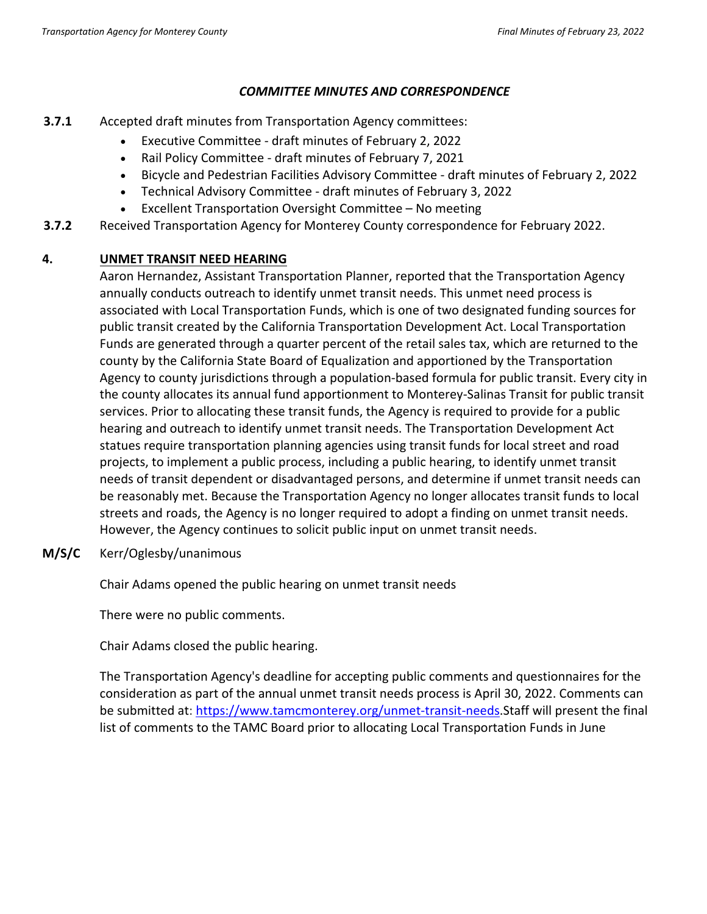### *COMMITTEE MINUTES AND CORRESPONDENCE*

- **3.7.1** Accepted draft minutes from Transportation Agency committees:
	- Executive Committee draft minutes of February 2, 2022
	- Rail Policy Committee draft minutes of February 7, 2021
	- Bicycle and Pedestrian Facilities Advisory Committee draft minutes of February 2, 2022
	- Technical Advisory Committee draft minutes of February 3, 2022
	- Excellent Transportation Oversight Committee No meeting
- **3.7.2** Received Transportation Agency for Monterey County correspondence for February 2022.

# **4. UNMET TRANSIT NEED HEARING**

Aaron Hernandez, Assistant Transportation Planner, reported that the Transportation Agency annually conducts outreach to identify unmet transit needs. This unmet need process is associated with Local Transportation Funds, which is one of two designated funding sources for public transit created by the California Transportation Development Act. Local Transportation Funds are generated through a quarter percent of the retail sales tax, which are returned to the county by the California State Board of Equalization and apportioned by the Transportation Agency to county jurisdictions through a population-based formula for public transit. Every city in the county allocates its annual fund apportionment to Monterey-Salinas Transit for public transit services. Prior to allocating these transit funds, the Agency is required to provide for a public hearing and outreach to identify unmet transit needs. The Transportation Development Act statues require transportation planning agencies using transit funds for local street and road projects, to implement a public process, including a public hearing, to identify unmet transit needs of transit dependent or disadvantaged persons, and determine if unmet transit needs can be reasonably met. Because the Transportation Agency no longer allocates transit funds to local streets and roads, the Agency is no longer required to adopt a finding on unmet transit needs. However, the Agency continues to solicit public input on unmet transit needs.

**M/S/C** Kerr/Oglesby/unanimous

Chair Adams opened the public hearing on unmet transit needs

There were no public comments.

Chair Adams closed the public hearing.

The Transportation Agency's deadline for accepting public comments and questionnaires for the consideration as part of the annual unmet transit needs process is April 30, 2022. Comments can be submitted at: [https://www.tamcmonterey.org/unmet-transit-needs.](https://www.tamcmonterey.org/unmet-transit-needs)Staff will present the final list of comments to the TAMC Board prior to allocating Local Transportation Funds in June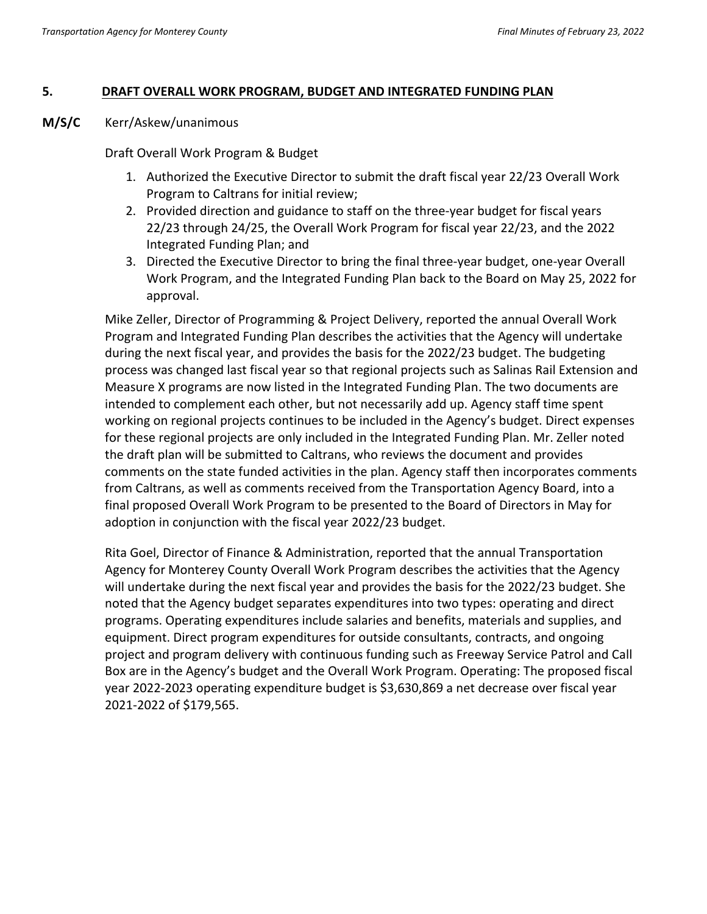#### **5. DRAFT OVERALL WORK PROGRAM, BUDGET AND INTEGRATED FUNDING PLAN**

**M/S/C** Kerr/Askew/unanimous

Draft Overall Work Program & Budget

- 1. Authorized the Executive Director to submit the draft fiscal year 22/23 Overall Work Program to Caltrans for initial review;
- 2. Provided direction and guidance to staff on the three-year budget for fiscal years 22/23 through 24/25, the Overall Work Program for fiscal year 22/23, and the 2022 Integrated Funding Plan; and
- 3. Directed the Executive Director to bring the final three-year budget, one-year Overall Work Program, and the Integrated Funding Plan back to the Board on May 25, 2022 for approval.

Mike Zeller, Director of Programming & Project Delivery, reported the annual Overall Work Program and Integrated Funding Plan describes the activities that the Agency will undertake during the next fiscal year, and provides the basis for the 2022/23 budget. The budgeting process was changed last fiscal year so that regional projects such as Salinas Rail Extension and Measure X programs are now listed in the Integrated Funding Plan. The two documents are intended to complement each other, but not necessarily add up. Agency staff time spent working on regional projects continues to be included in the Agency's budget. Direct expenses for these regional projects are only included in the Integrated Funding Plan. Mr. Zeller noted the draft plan will be submitted to Caltrans, who reviews the document and provides comments on the state funded activities in the plan. Agency staff then incorporates comments from Caltrans, as well as comments received from the Transportation Agency Board, into a final proposed Overall Work Program to be presented to the Board of Directors in May for adoption in conjunction with the fiscal year 2022/23 budget.

Rita Goel, Director of Finance & Administration, reported that the annual Transportation Agency for Monterey County Overall Work Program describes the activities that the Agency will undertake during the next fiscal year and provides the basis for the 2022/23 budget. She noted that the Agency budget separates expenditures into two types: operating and direct programs. Operating expenditures include salaries and benefits, materials and supplies, and equipment. Direct program expenditures for outside consultants, contracts, and ongoing project and program delivery with continuous funding such as Freeway Service Patrol and Call Box are in the Agency's budget and the Overall Work Program. Operating: The proposed fiscal year 2022-2023 operating expenditure budget is \$3,630,869 a net decrease over fiscal year 2021-2022 of \$179,565.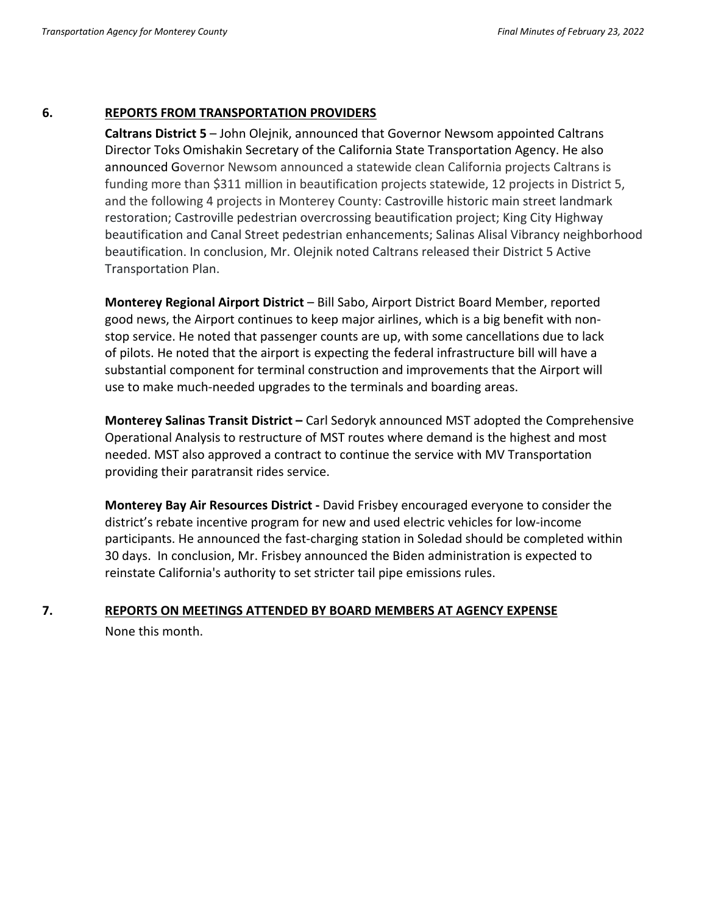#### **6. REPORTS FROM TRANSPORTATION PROVIDERS**

**Caltrans District 5** – John Olejnik, announced that Governor Newsom appointed Caltrans Director Toks Omishakin Secretary of the California State Transportation Agency. He also announced Governor Newsom announced a statewide clean California projects Caltrans is funding more than \$311 million in beautification projects statewide, 12 projects in District 5, and the following 4 projects in Monterey County: Castroville historic main street landmark restoration; Castroville pedestrian overcrossing beautification project; King City Highway beautification and Canal Street pedestrian enhancements; Salinas Alisal Vibrancy neighborhood beautification. In conclusion, Mr. Olejnik noted Caltrans released their District 5 Active Transportation Plan.

**Monterey Regional Airport District** – Bill Sabo, Airport District Board Member, reported good news, the Airport continues to keep major airlines, which is a big benefit with nonstop service. He noted that passenger counts are up, with some cancellations due to lack of pilots. He noted that the airport is expecting the federal infrastructure bill will have a substantial component for terminal construction and improvements that the Airport will use to make much-needed upgrades to the terminals and boarding areas.

**Monterey Salinas Transit District –** Carl Sedoryk announced MST adopted the Comprehensive Operational Analysis to restructure of MST routes where demand is the highest and most needed. MST also approved a contract to continue the service with MV Transportation providing their paratransit rides service.

**Monterey Bay Air Resources District -** David Frisbey encouraged everyone to consider the district's rebate incentive program for new and used electric vehicles for low-income participants. He announced the fast-charging station in Soledad should be completed within 30 days. In conclusion, Mr. Frisbey announced the Biden administration is expected to reinstate California's authority to set stricter tail pipe emissions rules.

# **7. REPORTS ON MEETINGS ATTENDED BY BOARD MEMBERS AT AGENCY EXPENSE** None this month.